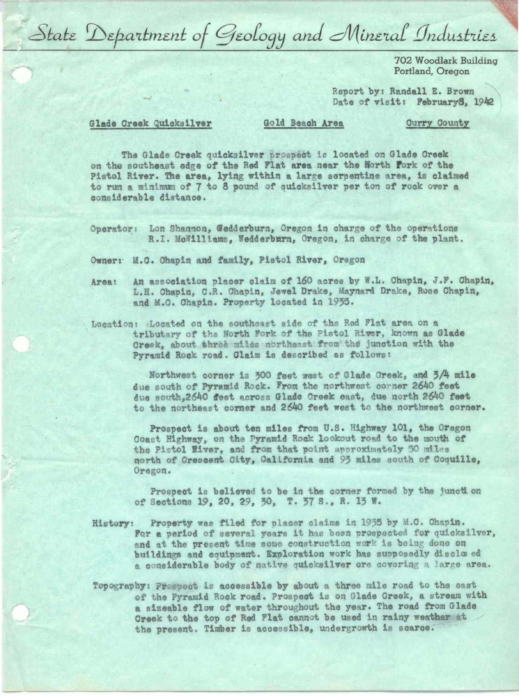State Department of Geology and Mineral Industries

702 Woodlark Building Portland, Oregon

Report by: Randall E. Brown Date of visit: February8, 1942

## Glade Creek Quicksilver

Gold Beach Area

**Curry County** 

The Glade Creek quicksilver prospect is located on Glade Creek on the southeast edge of the Red Flat area near the North Fork of the Pistol River. The area, lying within a large serpentine area, is claimed to run a minimum of 7 to 8 pound of quicksilver per ton of rock over a considerable distance.

Operator: Lon Shannon, Gedderburn, Oregon in charge of the operations R.I. McWilliams, Wedderburn, Oregon, in charge of the plant.

Owner: M.C. Chapin and family, Pistol River, Oregon

- An association placer claim of 160 acres by W.L. Chapin, J.F. Chapin, Area: L.H. Chapin, C.R. Chapin, Jewel Drake, Maynard Drake, Rose Chapin, and M.C. Chapin. Property located in 1935.
- Location: Located on the southeast side of the Red Flat area on a tributary of the North Fork of the Pistol River, known as Glade Greek, about three miles northeast from the junction with the Pyramid Rock road. Claim is described as follows:

Northwest corner is 300 feet west of Glade Creek, and 3/4 mile due south of Pyramid Rock. From the northwest corner 2640 feet due south, 2640 feet across Glade Creek east, due north 2640 feet to the northeast corner and 2640 feet west to the northwest corner.

Prospect is about ten miles from U.S. Highway 101, the Oregon Coast Highway, on the Pyramid Rock lookout road to the mouth of the Pistol Eiver, and from that point approximately 50 miles north of Crescent City, California and 93 miles south of Coquille, Oregon.

Prospect is believed to be in the corner formed by the junction of Sections 19, 20, 29, 30, T. 37 S., R. 13 W.

- History: Property was filed for placer claims in 1935 by M.C. Chapin. For a period of several years it has been prospected for quicksilver, and at the present time some construction work is being done on buildings and equipment. Exploration work has supposedly disclosed a considerable body of native quicksilver ore covering a large area.
- Topography: Prospect is accessible by about a three mile road to the east of the Pyramid Rock road. Prospect is on Glade Creek, a stream with a sizeable flow of water throughout the year. The road from Glade Creek to the top of Red Flat cannot be used in rainy weather at the present. Timber is accessible, undergrowth is scarce.